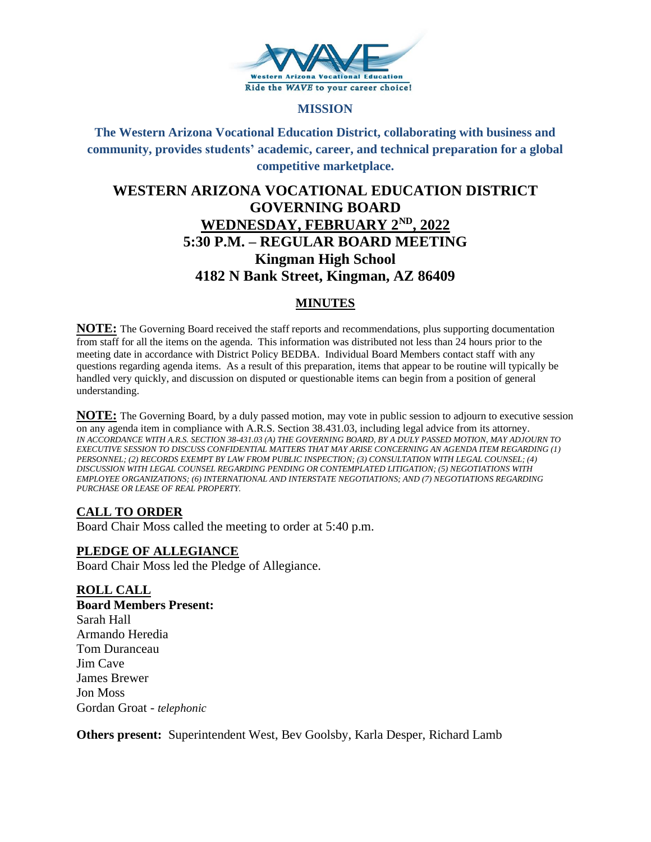

# **MISSION**

# **The Western Arizona Vocational Education District, collaborating with business and community, provides students' academic, career, and technical preparation for a global competitive marketplace.**

# **WESTERN ARIZONA VOCATIONAL EDUCATION DISTRICT GOVERNING BOARD WEDNESDAY, FEBRUARY 2ND, 2022 5:30 P.M. – REGULAR BOARD MEETING Kingman High School 4182 N Bank Street, Kingman, AZ 86409**

# **MINUTES**

**NOTE:** The Governing Board received the staff reports and recommendations, plus supporting documentation from staff for all the items on the agenda. This information was distributed not less than 24 hours prior to the meeting date in accordance with District Policy BEDBA. Individual Board Members contact staff with any questions regarding agenda items. As a result of this preparation, items that appear to be routine will typically be handled very quickly, and discussion on disputed or questionable items can begin from a position of general understanding.

**NOTE:** The Governing Board, by a duly passed motion, may vote in public session to adjourn to executive session on any agenda item in compliance with A.R.S. Section 38.431.03, including legal advice from its attorney. *IN ACCORDANCE WITH A.R.S. SECTION 38-431.03 (A) THE GOVERNING BOARD, BY A DULY PASSED MOTION, MAY ADJOURN TO EXECUTIVE SESSION TO DISCUSS CONFIDENTIAL MATTERS THAT MAY ARISE CONCERNING AN AGENDA ITEM REGARDING (1) PERSONNEL; (2) RECORDS EXEMPT BY LAW FROM PUBLIC INSPECTION; (3) CONSULTATION WITH LEGAL COUNSEL; (4) DISCUSSION WITH LEGAL COUNSEL REGARDING PENDING OR CONTEMPLATED LITIGATION; (5) NEGOTIATIONS WITH EMPLOYEE ORGANIZATIONS; (6) INTERNATIONAL AND INTERSTATE NEGOTIATIONS; AND (7) NEGOTIATIONS REGARDING PURCHASE OR LEASE OF REAL PROPERTY.*

# **CALL TO ORDER**

Board Chair Moss called the meeting to order at 5:40 p.m.

# **PLEDGE OF ALLEGIANCE**

Board Chair Moss led the Pledge of Allegiance.

# **ROLL CALL**

**Board Members Present:** Sarah Hall Armando Heredia Tom Duranceau Jim Cave James Brewer Jon Moss Gordan Groat - *telephonic*

**Others present:** Superintendent West, Bev Goolsby, Karla Desper, Richard Lamb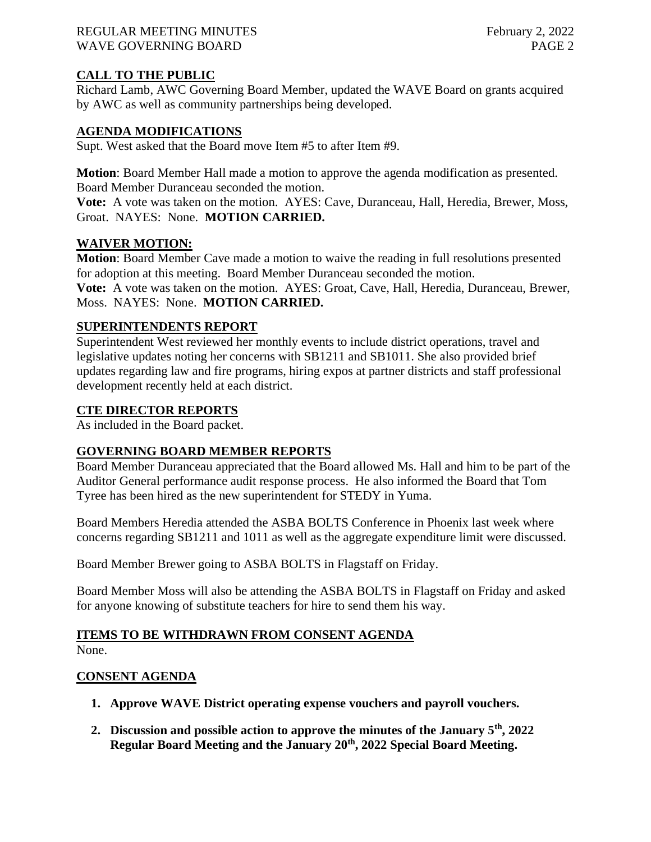#### REGULAR MEETING MINUTES February 2, 2022 WAVE GOVERNING BOARD **PAGE 2**

# **CALL TO THE PUBLIC**

Richard Lamb, AWC Governing Board Member, updated the WAVE Board on grants acquired by AWC as well as community partnerships being developed.

# **AGENDA MODIFICATIONS**

Supt. West asked that the Board move Item #5 to after Item #9.

**Motion**: Board Member Hall made a motion to approve the agenda modification as presented. Board Member Duranceau seconded the motion.

**Vote:** A vote was taken on the motion. AYES: Cave, Duranceau, Hall, Heredia, Brewer, Moss, Groat. NAYES: None. **MOTION CARRIED.**

# **WAIVER MOTION:**

**Motion**: Board Member Cave made a motion to waive the reading in full resolutions presented for adoption at this meeting. Board Member Duranceau seconded the motion.

**Vote:** A vote was taken on the motion. AYES: Groat, Cave, Hall, Heredia, Duranceau, Brewer, Moss. NAYES: None. **MOTION CARRIED.**

# **SUPERINTENDENTS REPORT**

Superintendent West reviewed her monthly events to include district operations, travel and legislative updates noting her concerns with SB1211 and SB1011. She also provided brief updates regarding law and fire programs, hiring expos at partner districts and staff professional development recently held at each district.

#### **CTE DIRECTOR REPORTS**

As included in the Board packet.

# **GOVERNING BOARD MEMBER REPORTS**

Board Member Duranceau appreciated that the Board allowed Ms. Hall and him to be part of the Auditor General performance audit response process. He also informed the Board that Tom Tyree has been hired as the new superintendent for STEDY in Yuma.

Board Members Heredia attended the ASBA BOLTS Conference in Phoenix last week where concerns regarding SB1211 and 1011 as well as the aggregate expenditure limit were discussed.

Board Member Brewer going to ASBA BOLTS in Flagstaff on Friday.

Board Member Moss will also be attending the ASBA BOLTS in Flagstaff on Friday and asked for anyone knowing of substitute teachers for hire to send them his way.

#### **ITEMS TO BE WITHDRAWN FROM CONSENT AGENDA** None.

# **CONSENT AGENDA**

- **1. Approve WAVE District operating expense vouchers and payroll vouchers.**
- **2. Discussion and possible action to approve the minutes of the January 5th, 2022 Regular Board Meeting and the January 20th, 2022 Special Board Meeting.**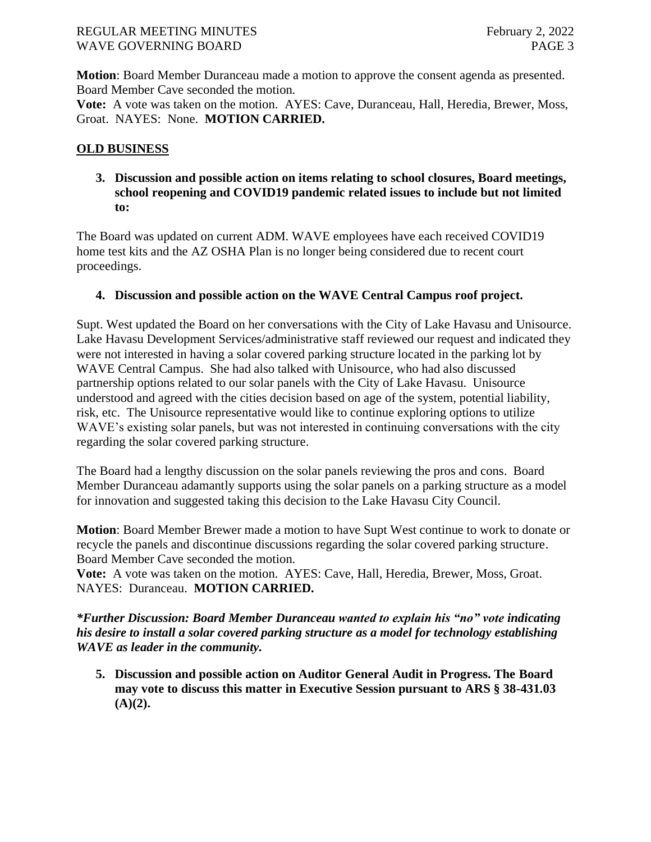# REGULAR MEETING MINUTES February 2, 2022 WAVE GOVERNING BOARD **PAGE 3**

**Motion**: Board Member Duranceau made a motion to approve the consent agenda as presented. Board Member Cave seconded the motion.

**Vote:** A vote was taken on the motion. AYES: Cave, Duranceau, Hall, Heredia, Brewer, Moss, Groat. NAYES: None. **MOTION CARRIED.**

# **OLD BUSINESS**

**3. Discussion and possible action on items relating to school closures, Board meetings, school reopening and COVID19 pandemic related issues to include but not limited to:** 

The Board was updated on current ADM. WAVE employees have each received COVID19 home test kits and the AZ OSHA Plan is no longer being considered due to recent court proceedings.

# **4. Discussion and possible action on the WAVE Central Campus roof project.**

Supt. West updated the Board on her conversations with the City of Lake Havasu and Unisource. Lake Havasu Development Services/administrative staff reviewed our request and indicated they were not interested in having a solar covered parking structure located in the parking lot by WAVE Central Campus. She had also talked with Unisource, who had also discussed partnership options related to our solar panels with the City of Lake Havasu. Unisource understood and agreed with the cities decision based on age of the system, potential liability, risk, etc. The Unisource representative would like to continue exploring options to utilize WAVE's existing solar panels, but was not interested in continuing conversations with the city regarding the solar covered parking structure.

The Board had a lengthy discussion on the solar panels reviewing the pros and cons. Board Member Duranceau adamantly supports using the solar panels on a parking structure as a model for innovation and suggested taking this decision to the Lake Havasu City Council.

**Motion**: Board Member Brewer made a motion to have Supt West continue to work to donate or recycle the panels and discontinue discussions regarding the solar covered parking structure. Board Member Cave seconded the motion.

**Vote:** A vote was taken on the motion. AYES: Cave, Hall, Heredia, Brewer, Moss, Groat. NAYES: Duranceau. **MOTION CARRIED.**

*\*Further Discussion: Board Member Duranceau wanted to explain his "no" vote indicating his desire to install a solar covered parking structure as a model for technology establishing WAVE as leader in the community.*

**5. Discussion and possible action on Auditor General Audit in Progress. The Board may vote to discuss this matter in Executive Session pursuant to ARS § 38-431.03 (A)(2).**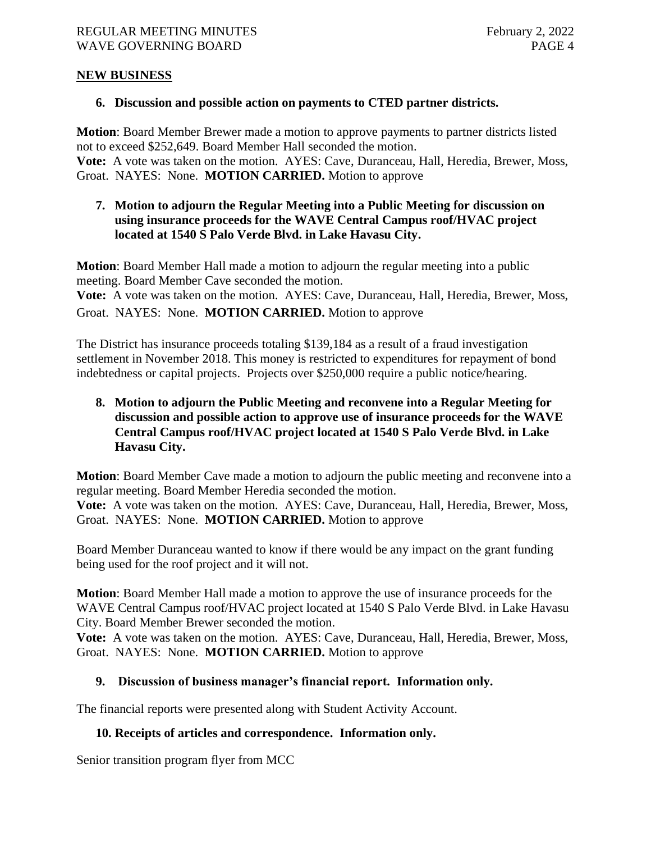# **NEW BUSINESS**

#### **6. Discussion and possible action on payments to CTED partner districts.**

**Motion**: Board Member Brewer made a motion to approve payments to partner districts listed not to exceed \$252,649. Board Member Hall seconded the motion.

**Vote:** A vote was taken on the motion. AYES: Cave, Duranceau, Hall, Heredia, Brewer, Moss, Groat. NAYES: None. **MOTION CARRIED.** Motion to approve

# **7. Motion to adjourn the Regular Meeting into a Public Meeting for discussion on using insurance proceeds for the WAVE Central Campus roof/HVAC project located at 1540 S Palo Verde Blvd. in Lake Havasu City.**

**Motion**: Board Member Hall made a motion to adjourn the regular meeting into a public meeting. Board Member Cave seconded the motion. **Vote:** A vote was taken on the motion. AYES: Cave, Duranceau, Hall, Heredia, Brewer, Moss,

Groat. NAYES: None. **MOTION CARRIED.** Motion to approve

The District has insurance proceeds totaling \$139,184 as a result of a fraud investigation settlement in November 2018. This money is restricted to expenditures for repayment of bond indebtedness or capital projects. Projects over \$250,000 require a public notice/hearing.

# **8. Motion to adjourn the Public Meeting and reconvene into a Regular Meeting for discussion and possible action to approve use of insurance proceeds for the WAVE Central Campus roof/HVAC project located at 1540 S Palo Verde Blvd. in Lake Havasu City.**

**Motion**: Board Member Cave made a motion to adjourn the public meeting and reconvene into a regular meeting. Board Member Heredia seconded the motion.

**Vote:** A vote was taken on the motion. AYES: Cave, Duranceau, Hall, Heredia, Brewer, Moss, Groat. NAYES: None. **MOTION CARRIED.** Motion to approve

Board Member Duranceau wanted to know if there would be any impact on the grant funding being used for the roof project and it will not.

**Motion**: Board Member Hall made a motion to approve the use of insurance proceeds for the WAVE Central Campus roof/HVAC project located at 1540 S Palo Verde Blvd. in Lake Havasu City. Board Member Brewer seconded the motion.

**Vote:** A vote was taken on the motion. AYES: Cave, Duranceau, Hall, Heredia, Brewer, Moss, Groat. NAYES: None. **MOTION CARRIED.** Motion to approve

# **9. Discussion of business manager's financial report. Information only.**

The financial reports were presented along with Student Activity Account.

# **10. Receipts of articles and correspondence. Information only.**

Senior transition program flyer from MCC